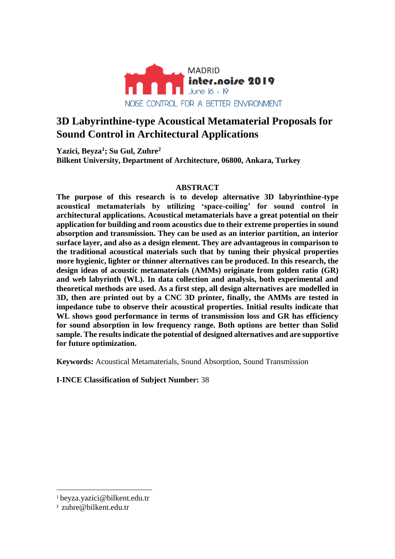

# **3D Labyrinthine-type Acoustical Metamaterial Proposals for Sound Control in Architectural Applications**

**Yazici, Beyza<sup>1</sup> ; Su Gul, Zuhre<sup>2</sup> Bilkent University, Department of Architecture, 06800, Ankara, Turkey**

## **ABSTRACT**

**The purpose of this research is to develop alternative 3D labyrinthine-type acoustical metamaterials by utilizing 'space-coiling' for sound control in architectural applications. Acoustical metamaterials have a great potential on their application for building and room acoustics due to their extreme properties in sound absorption and transmission. They can be used as an interior partition, an interior surface layer, and also as a design element. They are advantageous in comparison to the traditional acoustical materials such that by tuning their physical properties more hygienic, lighter or thinner alternatives can be produced. In this research, the design ideas of acoustic metamaterials (AMMs) originate from golden ratio (GR) and web labyrinth (WL). In data collection and analysis, both experimental and theoretical methods are used. As a first step, all design alternatives are modelled in 3D, then are printed out by a CNC 3D printer, finally, the AMMs are tested in impedance tube to observe their acoustical properties. Initial results indicate that WL shows good performance in terms of transmission loss and GR has efficiency for sound absorption in low frequency range. Both options are better than Solid sample. The results indicate the potential of designed alternatives and are supportive for future optimization.**

**Keywords:** Acoustical Metamaterials, Sound Absorption, Sound Transmission

**I-INCE Classification of Subject Number:** 38

1

<sup>1</sup> beyza.yazici@bilkent.edu.tr

<sup>2</sup> zuhre@bilkent.edu.tr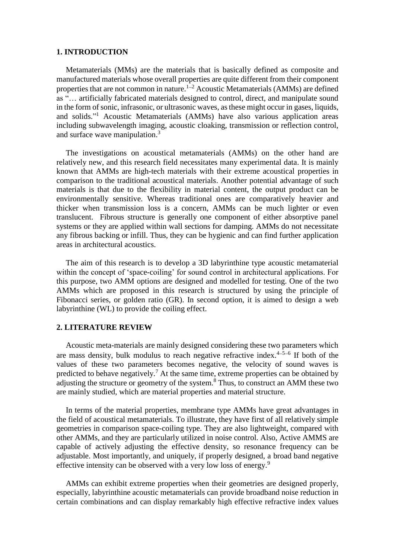#### **1. INTRODUCTION**

Metamaterials (MMs) are the materials that is basically defined as composite and manufactured materials whose overall properties are quite different from their component properties that are not common in nature.<sup>1-2</sup> Acoustic Metamaterials (AMMs) are defined as "… artificially fabricated materials designed to control, direct, and manipulate sound in the form of sonic, infrasonic, or ultrasonic waves, as these might occur in gases, liquids, and solids." <sup>1</sup> Acoustic Metamaterials (AMMs) have also various application areas including subwavelength imaging, acoustic cloaking, transmission or reflection control, and surface wave manipulation. 3

The investigations on acoustical metamaterials (AMMs) on the other hand are relatively new, and this research field necessitates many experimental data. It is mainly known that AMMs are high-tech materials with their extreme acoustical properties in comparison to the traditional acoustical materials. Another potential advantage of such materials is that due to the flexibility in material content, the output product can be environmentally sensitive. Whereas traditional ones are comparatively heavier and thicker when transmission loss is a concern, AMMs can be much lighter or even translucent. Fibrous structure is generally one component of either absorptive panel systems or they are applied within wall sections for damping. AMMs do not necessitate any fibrous backing or infill. Thus, they can be hygienic and can find further application areas in architectural acoustics.

The aim of this research is to develop a 3D labyrinthine type acoustic metamaterial within the concept of 'space-coiling' for sound control in architectural applications. For this purpose, two AMM options are designed and modelled for testing. One of the two AMMs which are proposed in this research is structured by using the principle of Fibonacci series, or golden ratio (GR). In second option, it is aimed to design a web labyrinthine (WL) to provide the coiling effect.

# **2. LITERATURE REVIEW**

Acoustic meta-materials are mainly designed considering these two parameters which are mass density, bulk modulus to reach negative refractive index. $4-5-6$  If both of the values of these two parameters becomes negative, the velocity of sound waves is predicted to behave negatively.<sup>7</sup> At the same time, extreme properties can be obtained by adjusting the structure or geometry of the system.<sup>8</sup> Thus, to construct an AMM these two are mainly studied, which are material properties and material structure.

In terms of the material properties, membrane type AMMs have great advantages in the field of acoustical metamaterials. To illustrate, they have first of all relatively simple geometries in comparison space-coiling type. They are also lightweight, compared with other AMMs, and they are particularly utilized in noise control. Also, Active AMMS are capable of actively adjusting the effective density, so resonance frequency can be adjustable. Most importantly, and uniquely, if properly designed, a broad band negative effective intensity can be observed with a very low loss of energy.<sup>9</sup>

AMMs can exhibit extreme properties when their geometries are designed properly, especially, labyrinthine acoustic metamaterials can provide broadband noise reduction in certain combinations and can display remarkably high effective refractive index values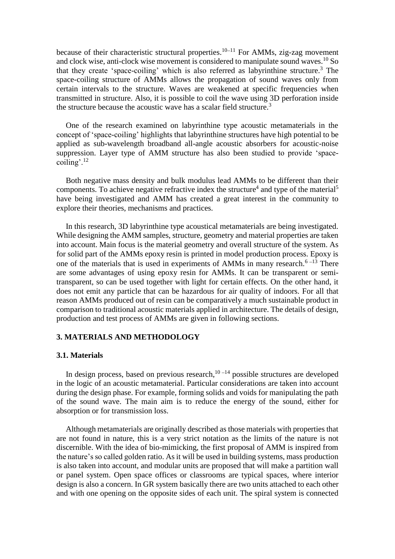because of their characteristic structural properties.<sup>10-11</sup> For AMMs, zig-zag movement and clock wise, anti-clock wise movement is considered to manipulate sound waves.<sup>10</sup> So that they create 'space-coiling' which is also referred as labyrinthine structure.<sup>3</sup> The space-coiling structure of AMMs allows the propagation of sound waves only from certain intervals to the structure. Waves are weakened at specific frequencies when transmitted in structure. Also, it is possible to coil the wave using 3D perforation inside the structure because the acoustic wave has a scalar field structure.<sup>3</sup>

One of the research examined on labyrinthine type acoustic metamaterials in the concept of 'space-coiling' highlights that labyrinthine structures have high potential to be applied as sub-wavelength broadband all-angle acoustic absorbers for acoustic-noise suppression. Layer type of AMM structure has also been studied to provide 'spacecoiling'.<sup>12</sup>

Both negative mass density and bulk modulus lead AMMs to be different than their components. To achieve negative refractive index the structure<sup>4</sup> and type of the material<sup>5</sup> have being investigated and AMM has created a great interest in the community to explore their theories, mechanisms and practices.

In this research, 3D labyrinthine type acoustical metamaterials are being investigated. While designing the AMM samples, structure, geometry and material properties are taken into account. Main focus is the material geometry and overall structure of the system. As for solid part of the AMMs epoxy resin is printed in model production process. Epoxy is one of the materials that is used in experiments of AMMs in many research.<sup>6-13</sup> There are some advantages of using epoxy resin for AMMs. It can be transparent or semitransparent, so can be used together with light for certain effects. On the other hand, it does not emit any particle that can be hazardous for air quality of indoors. For all that reason AMMs produced out of resin can be comparatively a much sustainable product in comparison to traditional acoustic materials applied in architecture. The details of design, production and test process of AMMs are given in following sections.

#### **3. MATERIALS AND METHODOLOGY**

#### **3.1. Materials**

In design process, based on previous research, $10 - 14$  possible structures are developed in the logic of an acoustic metamaterial. Particular considerations are taken into account during the design phase. For example, forming solids and voids for manipulating the path of the sound wave. The main aim is to reduce the energy of the sound, either for absorption or for transmission loss.

Although metamaterials are originally described as those materials with properties that are not found in nature, this is a very strict notation as the limits of the nature is not discernible. With the idea of bio-mimicking, the first proposal of AMM is inspired from the nature's so called golden ratio. As it will be used in building systems, mass production is also taken into account, and modular units are proposed that will make a partition wall or panel system. Open space offices or classrooms are typical spaces, where interior design is also a concern. In GR system basically there are two units attached to each other and with one opening on the opposite sides of each unit. The spiral system is connected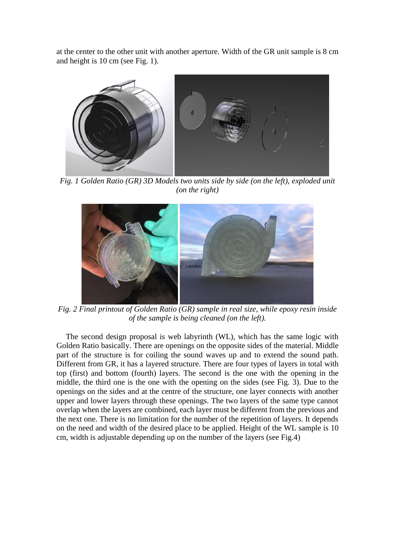at the center to the other unit with another aperture. Width of the GR unit sample is 8 cm and height is 10 cm (see Fig. 1).



*Fig. 1 Golden Ratio (GR) 3D Models two units side by side (on the left), exploded unit (on the right)*



*Fig. 2 Final printout of Golden Ratio (GR) sample in real size, while epoxy resin inside of the sample is being cleaned (on the left).*

The second design proposal is web labyrinth (WL), which has the same logic with Golden Ratio basically. There are openings on the opposite sides of the material. Middle part of the structure is for coiling the sound waves up and to extend the sound path. Different from GR, it has a layered structure. There are four types of layers in total with top (first) and bottom (fourth) layers. The second is the one with the opening in the middle, the third one is the one with the opening on the sides (see Fig. 3). Due to the openings on the sides and at the centre of the structure, one layer connects with another upper and lower layers through these openings. The two layers of the same type cannot overlap when the layers are combined, each layer must be different from the previous and the next one. There is no limitation for the number of the repetition of layers. It depends on the need and width of the desired place to be applied. Height of the WL sample is 10 cm, width is adjustable depending up on the number of the layers (see Fig.4)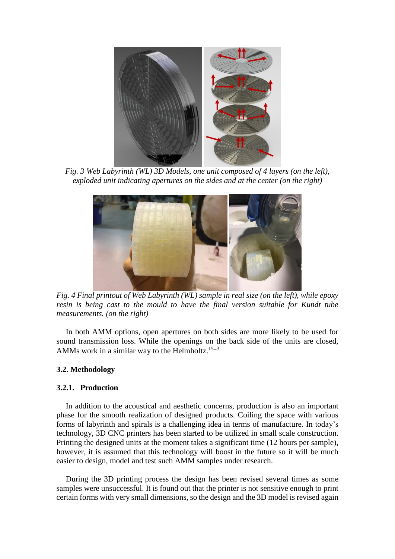

*Fig. 3 Web Labyrinth (WL) 3D Models, one unit composed of 4 layers (on the left), exploded unit indicating apertures on the sides and at the center (on the right)*



*Fig. 4 Final printout of Web Labyrinth (WL) sample in real size (on the left), while epoxy resin is being cast to the mould to have the final version suitable for Kundt tube measurements. (on the right)*

In both AMM options, open apertures on both sides are more likely to be used for sound transmission loss. While the openings on the back side of the units are closed, AMMs work in a similar way to the Helmholtz.<sup>15-3</sup>

#### **3.2. Methodology**

#### **3.2.1. Production**

In addition to the acoustical and aesthetic concerns, production is also an important phase for the smooth realization of designed products. Coiling the space with various forms of labyrinth and spirals is a challenging idea in terms of manufacture. In today's technology, 3D CNC printers has been started to be utilized in small scale construction. Printing the designed units at the moment takes a significant time (12 hours per sample), however, it is assumed that this technology will boost in the future so it will be much easier to design, model and test such AMM samples under research.

During the 3D printing process the design has been revised several times as some samples were unsuccessful. It is found out that the printer is not sensitive enough to print certain forms with very small dimensions, so the design and the 3D model is revised again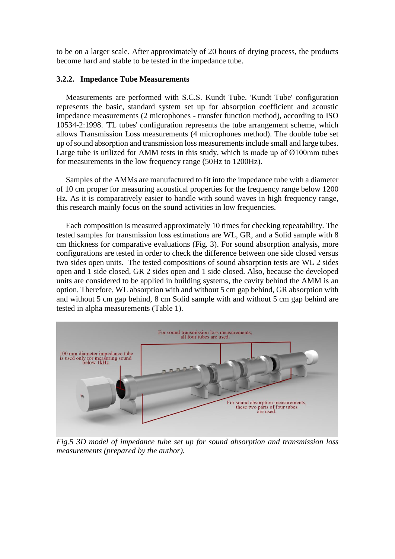to be on a larger scale. After approximately of 20 hours of drying process, the products become hard and stable to be tested in the impedance tube.

### **3.2.2. Impedance Tube Measurements**

Measurements are performed with S.C.S. Kundt Tube. 'Kundt Tube' configuration represents the basic, standard system set up for absorption coefficient and acoustic impedance measurements (2 microphones - transfer function method), according to ISO 10534-2:1998. 'TL tubes' configuration represents the tube arrangement scheme, which allows Transmission Loss measurements (4 microphones method). The double tube set up of sound absorption and transmission loss measurements include small and large tubes. Large tube is utilized for AMM tests in this study, which is made up of Ø100mm tubes for measurements in the low frequency range (50Hz to 1200Hz).

Samples of the AMMs are manufactured to fit into the impedance tube with a diameter of 10 cm proper for measuring acoustical properties for the frequency range below 1200 Hz. As it is comparatively easier to handle with sound waves in high frequency range, this research mainly focus on the sound activities in low frequencies.

Each composition is measured approximately 10 times for checking repeatability. The tested samples for transmission loss estimations are WL, GR, and a Solid sample with 8 cm thickness for comparative evaluations (Fig. 3). For sound absorption analysis, more configurations are tested in order to check the difference between one side closed versus two sides open units. The tested compositions of sound absorption tests are WL 2 sides open and 1 side closed, GR 2 sides open and 1 side closed. Also, because the developed units are considered to be applied in building systems, the cavity behind the AMM is an option. Therefore, WL absorption with and without 5 cm gap behind, GR absorption with and without 5 cm gap behind, 8 cm Solid sample with and without 5 cm gap behind are tested in alpha measurements (Table 1).



*Fig.5 3D model of impedance tube set up for sound absorption and transmission loss measurements (prepared by the author).*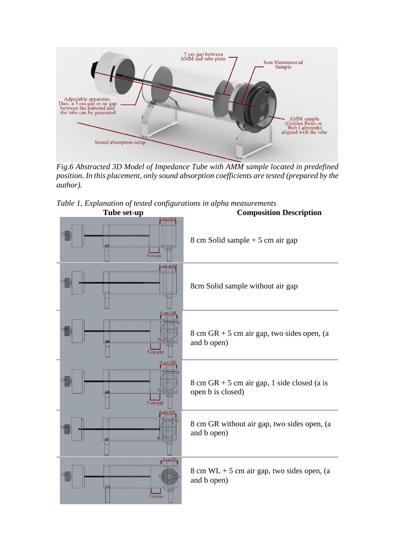

*Fig.6 Abstracted 3D Model of Impedance Tube with AMM sample located in predefined position. In this placement, only sound absorption coefficients are tested (prepared by the author).*



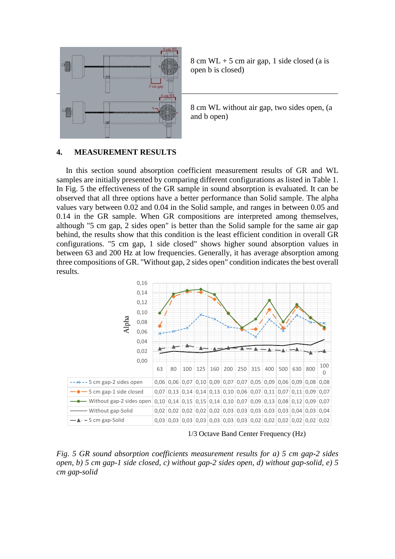

 $8 \text{ cm } WL + 5 \text{ cm } air$  gap, 1 side closed (a is open b is closed)

8 cm WL without air gap, two sides open, (a and b open)

#### **4. MEASUREMENT RESULTS**

In this section sound absorption coefficient measurement results of GR and WL samples are initially presented by comparing different configurations as listed in Table 1. In Fig. 5 the effectiveness of the GR sample in sound absorption is evaluated. It can be observed that all three options have a better performance than Solid sample. The alpha values vary between 0.02 and 0.04 in the Solid sample, and ranges in between 0.05 and 0.14 in the GR sample. When GR compositions are interpreted among themselves, although "5 cm gap, 2 sides open" is better than the Solid sample for the same air gap behind, the results show that this condition is the least efficient condition in overall GR configurations. "5 cm gap, 1 side closed" shows higher sound absorption values in between 63 and 200 Hz at low frequencies. Generally, it has average absorption among three compositions of GR. "Without gap, 2 sides open" condition indicates the best overall results.



1/3 Octave Band Center Frequency (Hz)

*Fig. 5 GR sound absorption coefficients measurement results for a) 5 cm gap-2 sides open, b) 5 cm gap-1 side closed, c) without gap-2 sides open, d) without gap-solid, e) 5 cm gap-solid*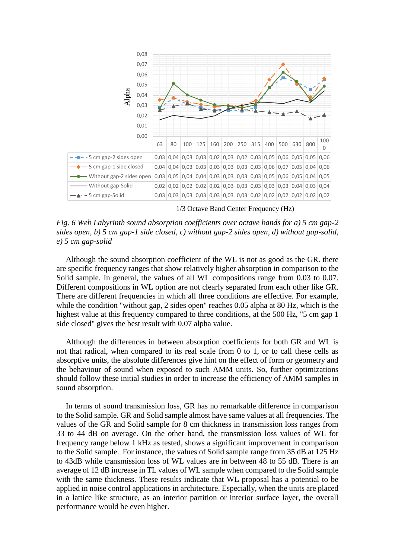

1/3 Octave Band Center Frequency (Hz)

*Fig. 6 Web Labyrinth sound absorption coefficients over octave bands for a) 5 cm gap-2 sides open, b) 5 cm gap-1 side closed, c) without gap-2 sides open, d) without gap-solid, e) 5 cm gap-solid*

Although the sound absorption coefficient of the WL is not as good as the GR. there are specific frequency ranges that show relatively higher absorption in comparison to the Solid sample. In general, the values of all WL compositions range from 0.03 to 0.07. Different compositions in WL option are not clearly separated from each other like GR. There are different frequencies in which all three conditions are effective. For example, while the condition "without gap, 2 sides open" reaches 0.05 alpha at 80 Hz, which is the highest value at this frequency compared to three conditions, at the 500 Hz, "5 cm gap 1 side closed" gives the best result with 0.07 alpha value.

Although the differences in between absorption coefficients for both GR and WL is not that radical, when compared to its real scale from 0 to 1, or to call these cells as absorptive units, the absolute differences give hint on the effect of form or geometry and the behaviour of sound when exposed to such AMM units. So, further optimizations should follow these initial studies in order to increase the efficiency of AMM samples in sound absorption.

In terms of sound transmission loss, GR has no remarkable difference in comparison to the Solid sample. GR and Solid sample almost have same values at all frequencies. The values of the GR and Solid sample for 8 cm thickness in transmission loss ranges from 33 to 44 dB on average. On the other hand, the transmission loss values of WL for frequency range below 1 kHz as tested, shows a significant improvement in comparison to the Solid sample. For instance, the values of Solid sample range from 35 dB at 125 Hz to 43dB while transmission loss of WL values are in between 48 to 55 dB. There is an average of 12 dB increase in TL values of WL sample when compared to the Solid sample with the same thickness. These results indicate that WL proposal has a potential to be applied in noise control applications in architecture. Especially, when the units are placed in a lattice like structure, as an interior partition or interior surface layer, the overall performance would be even higher.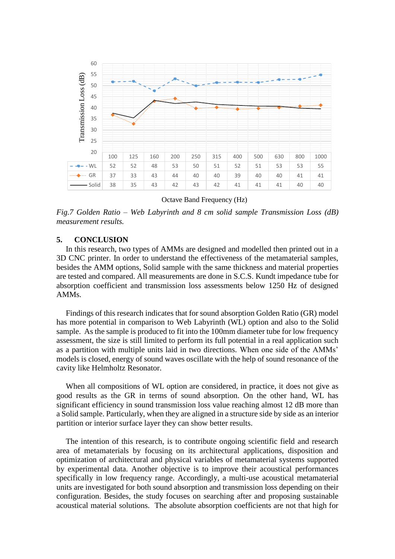

Octave Band Frequency (Hz)

*Fig.7 Golden Ratio – Web Labyrinth and 8 cm solid sample Transmission Loss (dB) measurement results.*

#### **5. CONCLUSION**

In this research, two types of AMMs are designed and modelled then printed out in a 3D CNC printer. In order to understand the effectiveness of the metamaterial samples, besides the AMM options, Solid sample with the same thickness and material properties are tested and compared. All measurements are done in S.C.S. Kundt impedance tube for absorption coefficient and transmission loss assessments below 1250 Hz of designed AMMs.

Findings of this research indicates that for sound absorption Golden Ratio (GR) model has more potential in comparison to Web Labyrinth (WL) option and also to the Solid sample. As the sample is produced to fit into the 100mm diameter tube for low frequency assessment, the size is still limited to perform its full potential in a real application such as a partition with multiple units laid in two directions. When one side of the AMMs' models is closed, energy of sound waves oscillate with the help of sound resonance of the cavity like Helmholtz Resonator.

When all compositions of WL option are considered, in practice, it does not give as good results as the GR in terms of sound absorption. On the other hand, WL has significant efficiency in sound transmission loss value reaching almost 12 dB more than a Solid sample. Particularly, when they are aligned in a structure side by side as an interior partition or interior surface layer they can show better results.

The intention of this research, is to contribute ongoing scientific field and research area of metamaterials by focusing on its architectural applications, disposition and optimization of architectural and physical variables of metamaterial systems supported by experimental data. Another objective is to improve their acoustical performances specifically in low frequency range. Accordingly, a multi-use acoustical metamaterial units are investigated for both sound absorption and transmission loss depending on their configuration. Besides, the study focuses on searching after and proposing sustainable acoustical material solutions. The absolute absorption coefficients are not that high for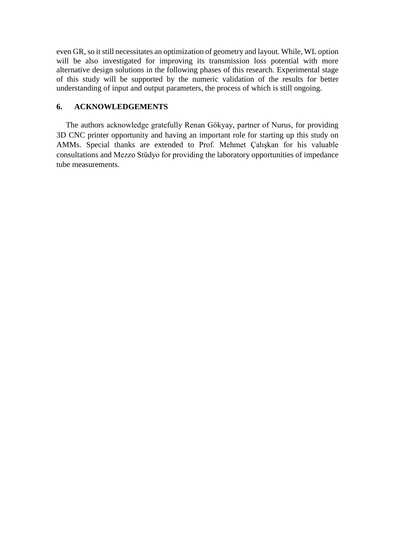even GR, so it still necessitates an optimization of geometry and layout. While, WL option will be also investigated for improving its transmission loss potential with more alternative design solutions in the following phases of this research. Experimental stage of this study will be supported by the numeric validation of the results for better understanding of input and output parameters, the process of which is still ongoing.

# **6. ACKNOWLEDGEMENTS**

The authors acknowledge gratefully Renan Gökyay, partner of Nurus, for providing 3D CNC printer opportunity and having an important role for starting up this study on AMMs. Special thanks are extended to Prof. Mehmet Çalışkan for his valuable consultations and Mezzo Stüdyo for providing the laboratory opportunities of impedance tube measurements.